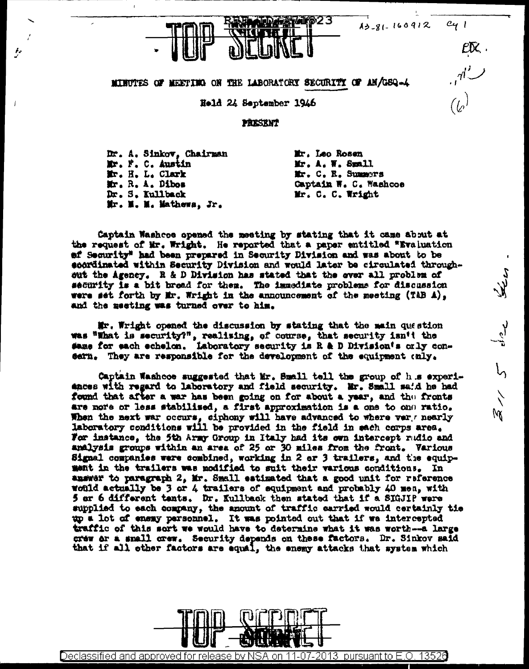$(\iota)$ 

 $\frac{5}{1}$ 

١W



## MINUTES OF MEETING ON THE LABORATORY SECURITY OF AM/GSQ-4

Held 24 September 1946

## PRESENT

Dr. A. Sinkov. Chairman Mr. F. C. Austin Mr. H. L. Clark Mr. R. A. Dibos Dr. S. Kullback Mr. M. M. Mathewa, Jr.

Mr. Leo Rosen Mr. A. W. Spall Mr. C. R. Summers Captain W. C. Washcoe Mr. C. C. Wright

Captain Washees opened the meeting by stating that it came about at the request of Mr. Wright. He reported that a paper entitled "Evaluation of Security" had been prepared in Security Division and was about to be scordinated within Security Division and would later be circulated throughsut the Agency. R & D Division has stated that the ever all problem of security is a bit bread for them. The immediate problems for discussion were set forth by Mr. Wright in the announcement of the meeting (TAB A), and the meeting was turned over to him.

Mr. Wright opened the discussion by stating that the main question was "What is security?", realising, of course, that security isn't the #ame for each echelon. Laboratory security is R & D Division's orly consern. They are responsible for the development of the equipment only.

Captain Washees suggested that Mr. Small tell the group of h.s experiances with regard to laboratory and field security. Mr. Small said he had found that after a war has been going on for about a year, and the fronts are more or less stabilised, a first approximation is a one to one ratio. When the next war occurs, ciphony will have advanced to where very nearly laboratory conditions will be provided in the field in sach corps area. For instance, the 5th Army Group in Italy had its own intercept radio and analysis groups within an area of 25 or 30 miles from the front. Various Signal companies were combined, working in 2 or 3 trailers, and the equipment in the trailers was modified to suit their various conditions. In answer to paragraph 2, Mr. Small estimated that a good unit for reference would actually be 3 or 4 trailers of equipment and probably 40 men, with 5 ar 6 different tents. Dr. Kullback then stated that if a SIGJIP were supplied to each company, the amount of traffic carried would certainly tie up a lot of ensay personnel. It was pointed out that if we intercepted traffic of this sort we would have to determine what it was worth-a large crew or a small crew. Security depends on these factors. Dr. Sinkov said that if all other factors are equal, the enemy attacks that system which



<u>Declassified and approved for release by NSA on 11-07-2013 pursuant to E.O.</u> <u> 13526</u>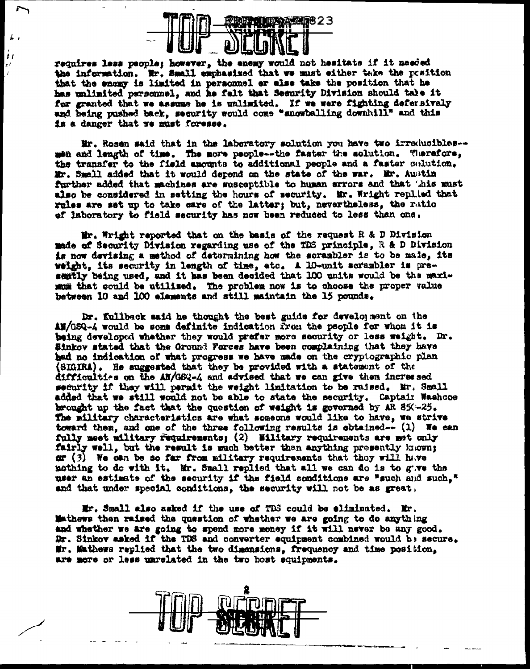

t i

requires less people; however, the enemy would not hesitate if it needed the information. Br. Small exchasized that we must either take the position that the enemy is limited in personnel or alse take the position that he has unlimited personnel, and he falt that Security Division should tale it for granted that we assume he is unlimited. If we were fighting defersively and being pushed back, security would come "snowballing downhill" and this is a danger that we must foresee.

Mr. Rosen said that in the laboratory solution you have two irroducibles-men and length of time. The more people--the faster the solution. Therefore, the transfer to the field amounts to additional people and a faster solution. Mr. Small added that it would depend on the state of the war. Mr. Austin further added that machines are susceptible to human errors and that 'his must also be considered in setting the hours of security. Mr. Wright replied that rules are set up to take sare of the latter; but, nevertheless, the rutio ef laboratory to field security has now been reduced to less than one,

Mr. Wright reported that on the basis of the request R & D Division made of Security Division regarding use of the TDS principle, R & D Division is now devising a method of determining how the scrambler is to be male, its weight, its security in length of time, etc. A 10-unit scrambler is presently being used, and it has been decided that 100 units would be the maximum that could be utilized. The problem now is to choose the proper value between 10 and 100 elements and still maintain the 15 pounds.

Dr. Kullback said he thought the best guide for development on the AW/GSQ-4 would be some definite indication from the people for whom it is being developed whether they would prefer more security or less weight. Dr. Sinkov stated that the Ground Forces have been complaining that they have had no indication of what progress we have made on the cryptographic plan (SIGIRA). He suggested that they be provided with a statement of the difficulties on the AN/GSQ-4 and advised that we can give them incressed security if they will permit the weight limitation to be raised. Mr. Small added that we still would not be able to state the security. Captair Washcoe brought up the fact that the question of weight is governed by AR 85( $-25$ . The military characteristics are what someone would like to have, we strive toward them, and one of the three following results is obtained- $-$  (1) We can fully meet military requirements; (2) Military requirements are met only fairly well, but the result is much better than anything presently known; or  $(3)$  We can be so far from military requirements that they will have nothing to do with it. Mr. Small replied that all we can do is to give the user an estimate of the security if the field conditions are "such and such," and that under special conditions, the security will not be as great,

Mr. Small also asked if the use of TDS could be eliminated. Mr. Mathews then raised the question of whether we are going to do anything and whether we are going to spend more money if it will never be any good. Dr. Sinkov asked if the TDS and converter equipment combined would be secure. Mr. Mathews replied that the two dimensions, frequency and time position, are more or less unrelated in the two best equipments.

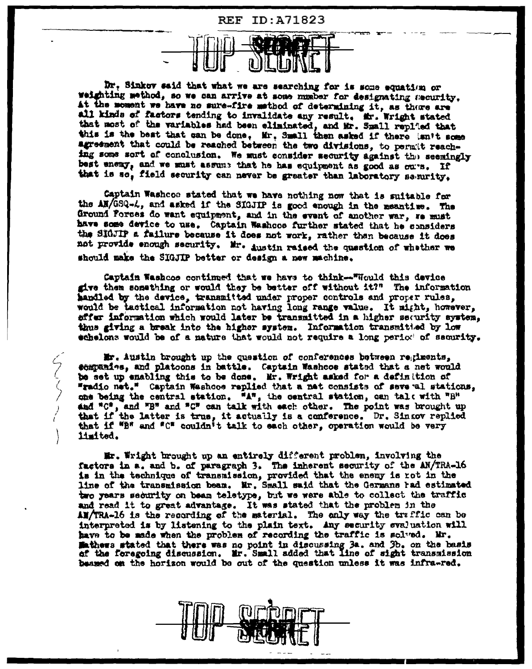

Dr. Sinkov said that what we are searching for is some equation or weighting method, so we can arrive at some number for designating security. At the moment we have no sure-fire method of determining it, as there are all kinds of factors tending to invalidate any result. Mr. Wright stated that most of the variables had been eliminated, and Mr. Small repl'ed that this is the best that can be done. Mr. Small then asked if there isn't some agreement that could be reached between the two divisions, to permit reaching some sort of conclusion. We must consider security against the seemingly best enemy, and we must assume that he has equipment as good as ou's. If that is so, field security can never be greater than laboratory security.

Captain Washcoe stated that we have nothing now that is suitable for the AM/GSQ-L, and asked if the SIGJIP is good enough in the meantime. The Ground Porces do want equipment, and in the event of another war, we must have some device to use. Captain Washcos further stated that he considers the SIGJIP a failure because it does not work, rather than because it does not provide enough security. Mr. Austin raised the question of whether we should make the SIGJIP better or design a new machine.

Captain Washcos continued that we have to think--"Would this device give them something or would they be better off without it?" The information handled by the device, transmitted under proper controls and proper rules, would be tactical information not having long range value. It might, however, effer information which would later be transmitted in a higher security system. thus giving a break into the higher system. Information transmitied by low echelons would be of a nature that would not require a long period of security.

Mr. Austin brought up the question of conferences between regiments. companies, and platoons in battle. Captain Washcoe stated that a net would be set up enabling this to be done. Mr. Wright asked for a definition of "radio net." Captain Washoos replied that a net consists of seve al stations, one being the central station. "A", the central station, can tale with "B" and "C", and "B" and "C" can talk with each other. The point was brought up that if the latter is true, it actually is a conference. Dr. Sincov replied that if "B" and "C" couldn't talk to each other, operation would be very limited.

Mr. Wright brought up an entirely different problem, involving the factors in a, and b, of paragraph 3. The inherent security of the AN/TRA-16 is in the technique of transmission, provided that the enemy is rot in the line of the transmission beam. Mr. Small said that the Germans rad estimated two years security on beam teletype, but we were able to collect the traffic and read it to great advantage. It was stated that the problem in the AM/TRA-16 is the recording of the material. The only way the traffic can be interpreted is by listening to the plain text. Any security evaluation will have to be made when the problem of recording the traffic is solved. Mr. Mathews stated that there was no point in discussing 3a. and 3b. on the basis of the foregoing discussion. Mr. Small added that line of sight transmission beamed on the horizon would be out of the question unless it was infra-red.

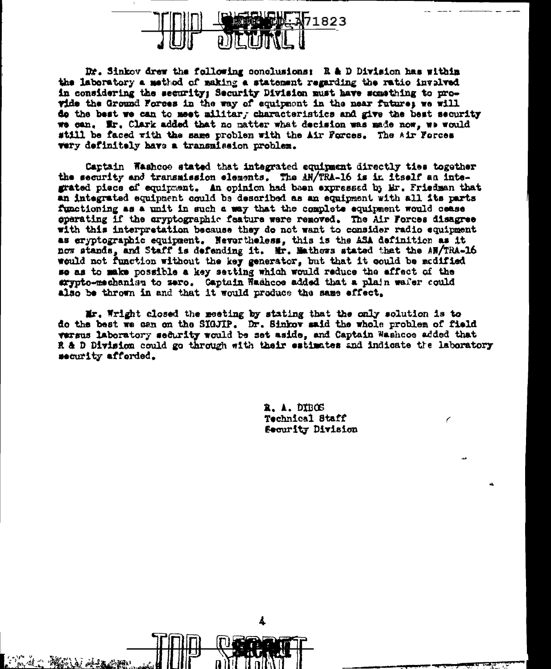

Dr. Sinkov drew the following conclusions: R & D Division has within the laboratory a method of making a statement regarding the ratio involved in considering the security: Security Division must have something to provide the Ground Forces in the way of equipment in the near future; we will do the best we can to meet militar, characteristics and give the best security we can. Ir. Clark added that no matter what decision was made now, we would still be faced with the same problem with the Air Forces. The Air Forces very definitely have a transmission problem.

Captain Washooe stated that integrated equipment directly ties together the security and transmission elements. The AN/TRA-16 is in itself an integrated piece of equipment. An opinion had been expressed by Mr. Friedman that an integrated equipment could be described as an equipment with all its parts functioning as a unit in such a way that the complete equipment would cease sperating if the aryptographic feature were removed. The Air Forces disagree with this interpretation because they do not want to consider radio equipment as cryptographic equipment. Nevertheless, this is the ASA definition as it now stands, and Staff is defending it. Mr. Mathews stated that the AN/TRA-16 would not function without the key generator, but that it could be medified se as to make possible a key setting which would reduce the affect of the exypto-mechanism to zero. Gaptain Washoos added that a plain wafer could also be thrown in and that it would produce the same effect.

Mr. Wright closed the meeting by stating that the only solution is to do the best we can on the SIGJIP. Dr. Sinkov said the whole problem of field versus laboratory security would be set aside, and Captain Washcoe added that R & D Division could go through with their estimates and indicate the laboratory security afforded.

4

R. A. DIBOS Technical Staff Security Division